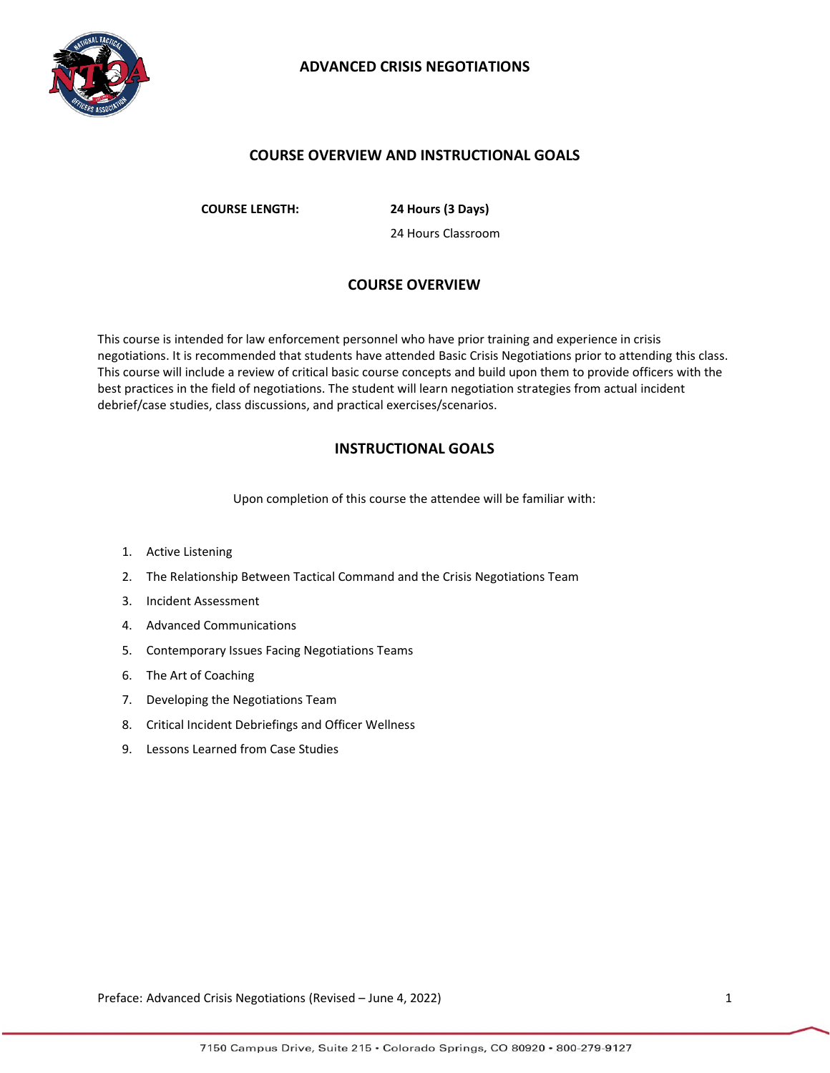

## **COURSE OVERVIEW AND INSTRUCTIONAL GOALS**

**COURSE LENGTH: 24 Hours (3 Days)**

24 Hours Classroom

## **COURSE OVERVIEW**

This course is intended for law enforcement personnel who have prior training and experience in crisis negotiations. It is recommended that students have attended Basic Crisis Negotiations prior to attending this class. This course will include a review of critical basic course concepts and build upon them to provide officers with the best practices in the field of negotiations. The student will learn negotiation strategies from actual incident debrief/case studies, class discussions, and practical exercises/scenarios.

## **INSTRUCTIONAL GOALS**

Upon completion of this course the attendee will be familiar with:

- 1. Active Listening
- 2. The Relationship Between Tactical Command and the Crisis Negotiations Team
- 3. Incident Assessment
- 4. Advanced Communications
- 5. Contemporary Issues Facing Negotiations Teams
- 6. The Art of Coaching
- 7. Developing the Negotiations Team
- 8. Critical Incident Debriefings and Officer Wellness
- 9. Lessons Learned from Case Studies

Preface: Advanced Crisis Negotiations (Revised – June 4, 2022) 1991 1992 1994 1994 1997 1998 1999 1999 1999 199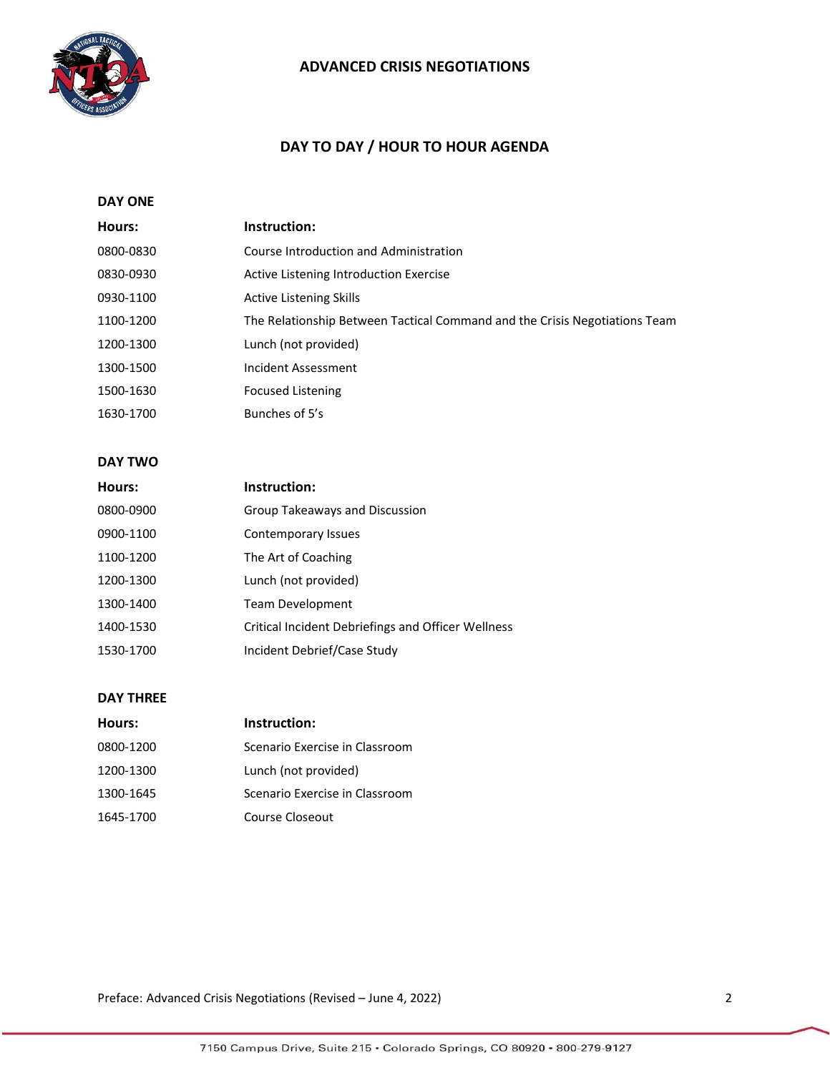

# **DAY TO DAY / HOUR TO HOUR AGENDA**

## **DAY ONE**

| Hours:    | Instruction:                                                               |
|-----------|----------------------------------------------------------------------------|
| 0800-0830 | Course Introduction and Administration                                     |
| 0830-0930 | Active Listening Introduction Exercise                                     |
| 0930-1100 | <b>Active Listening Skills</b>                                             |
| 1100-1200 | The Relationship Between Tactical Command and the Crisis Negotiations Team |
| 1200-1300 | Lunch (not provided)                                                       |
| 1300-1500 | Incident Assessment                                                        |
| 1500-1630 | <b>Focused Listening</b>                                                   |
| 1630-1700 | Bunches of 5's                                                             |
|           |                                                                            |

### **DAY TWO**

| Hours:    | Instruction:                                              |
|-----------|-----------------------------------------------------------|
| 0800-0900 | Group Takeaways and Discussion                            |
| 0900-1100 | Contemporary Issues                                       |
| 1100-1200 | The Art of Coaching                                       |
| 1200-1300 | Lunch (not provided)                                      |
| 1300-1400 | <b>Team Development</b>                                   |
| 1400-1530 | <b>Critical Incident Debriefings and Officer Wellness</b> |
| 1530-1700 | Incident Debrief/Case Study                               |

#### **DAY THREE**

| Hours:    | Instruction:                   |
|-----------|--------------------------------|
| 0800-1200 | Scenario Exercise in Classroom |
| 1200-1300 | Lunch (not provided)           |
| 1300-1645 | Scenario Exercise in Classroom |
| 1645-1700 | Course Closeout                |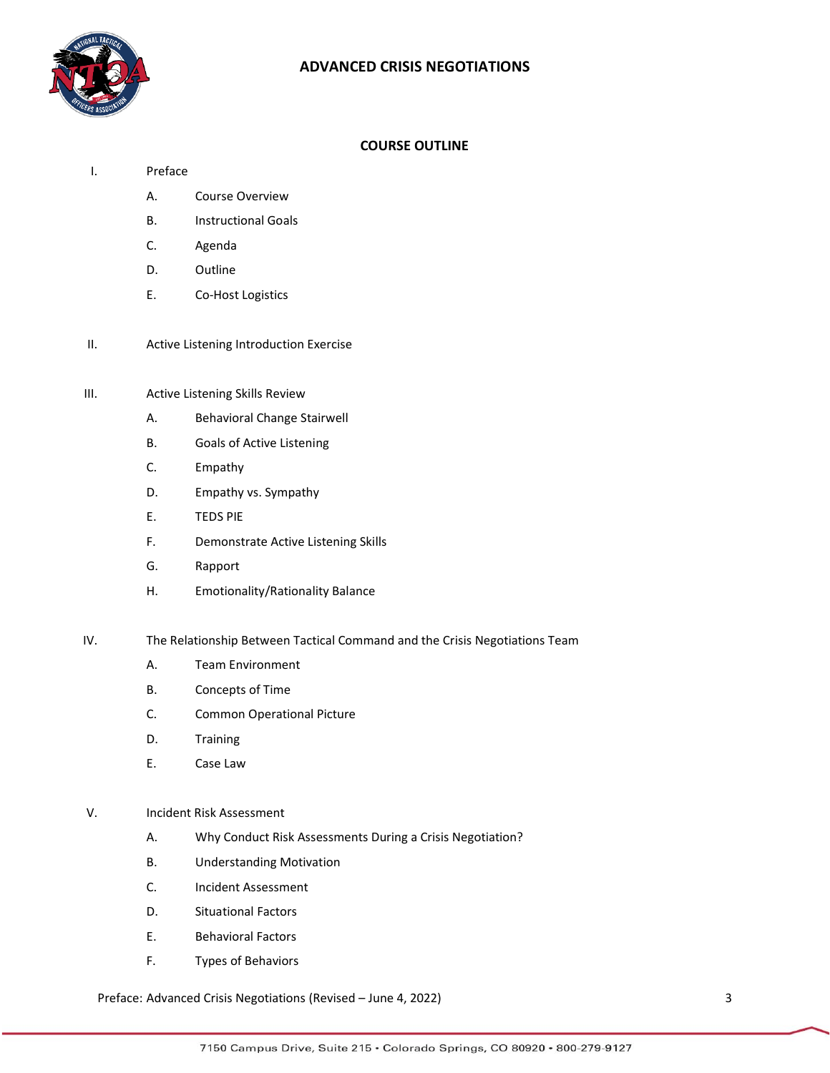

### **COURSE OUTLINE**

- I. Preface
	- A. Course Overview
	- B. Instructional Goals
	- C. Agenda
	- D. Outline
	- E. Co-Host Logistics
- II. Active Listening Introduction Exercise

#### III. Active Listening Skills Review

- A. Behavioral Change Stairwell
- B. Goals of Active Listening
- C. Empathy
- D. Empathy vs. Sympathy
- E. TEDS PIE
- F. Demonstrate Active Listening Skills
- G. Rapport
- H. Emotionality/Rationality Balance
- IV. The Relationship Between Tactical Command and the Crisis Negotiations Team
	- A. Team Environment
	- B. Concepts of Time
	- C. Common Operational Picture
	- D. Training
	- E. Case Law

### V. Incident Risk Assessment

- A. Why Conduct Risk Assessments During a Crisis Negotiation?
- B. Understanding Motivation
- C. Incident Assessment
- D. Situational Factors
- E. Behavioral Factors
- F. Types of Behaviors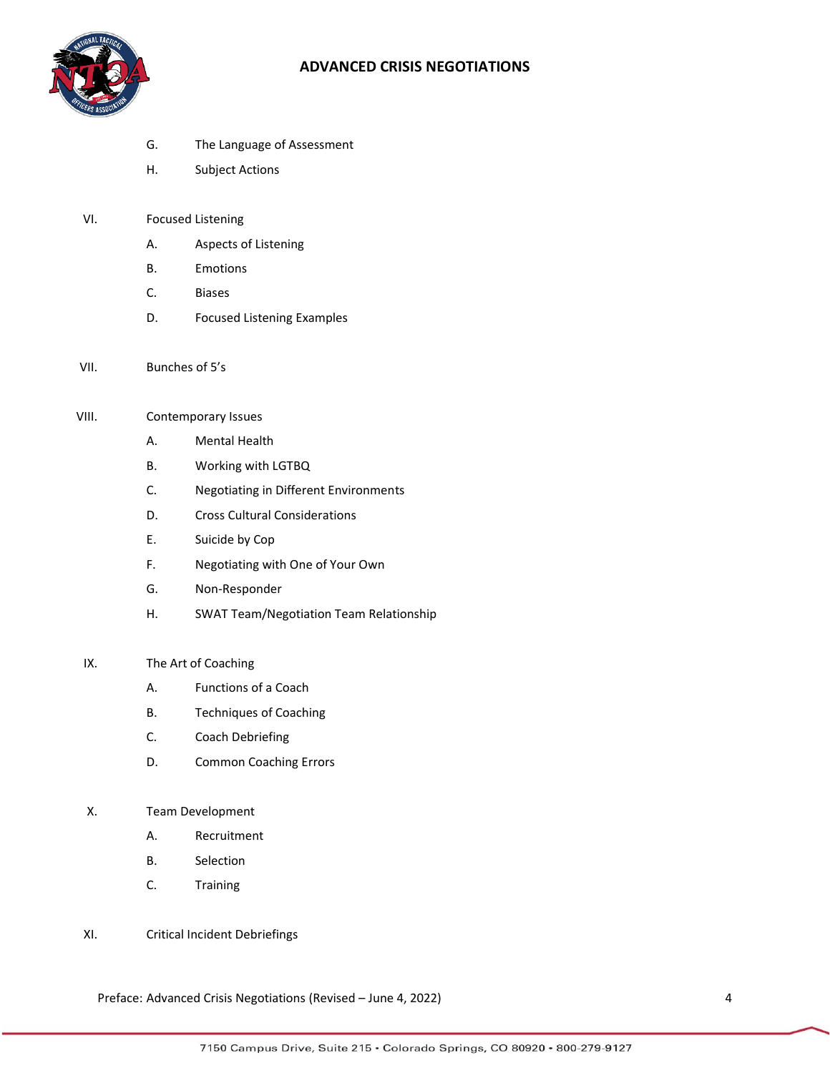

- G. The Language of Assessment
- H. Subject Actions
- VI. Focused Listening
	- A. Aspects of Listening
	- B. Emotions
	- C. Biases
	- D. Focused Listening Examples
- VII. Bunches of 5's
- VIII. Contemporary Issues
	- A. Mental Health
	- B. Working with LGTBQ
	- C. Negotiating in Different Environments
	- D. Cross Cultural Considerations
	- E. Suicide by Cop
	- F. Negotiating with One of Your Own
	- G. Non-Responder
	- H. SWAT Team/Negotiation Team Relationship

## IX. The Art of Coaching

- A. Functions of a Coach
- B. Techniques of Coaching
- C. Coach Debriefing
- D. Common Coaching Errors

#### X. Team Development

- A. Recruitment
- B. Selection
- C. Training
- XI. Critical Incident Debriefings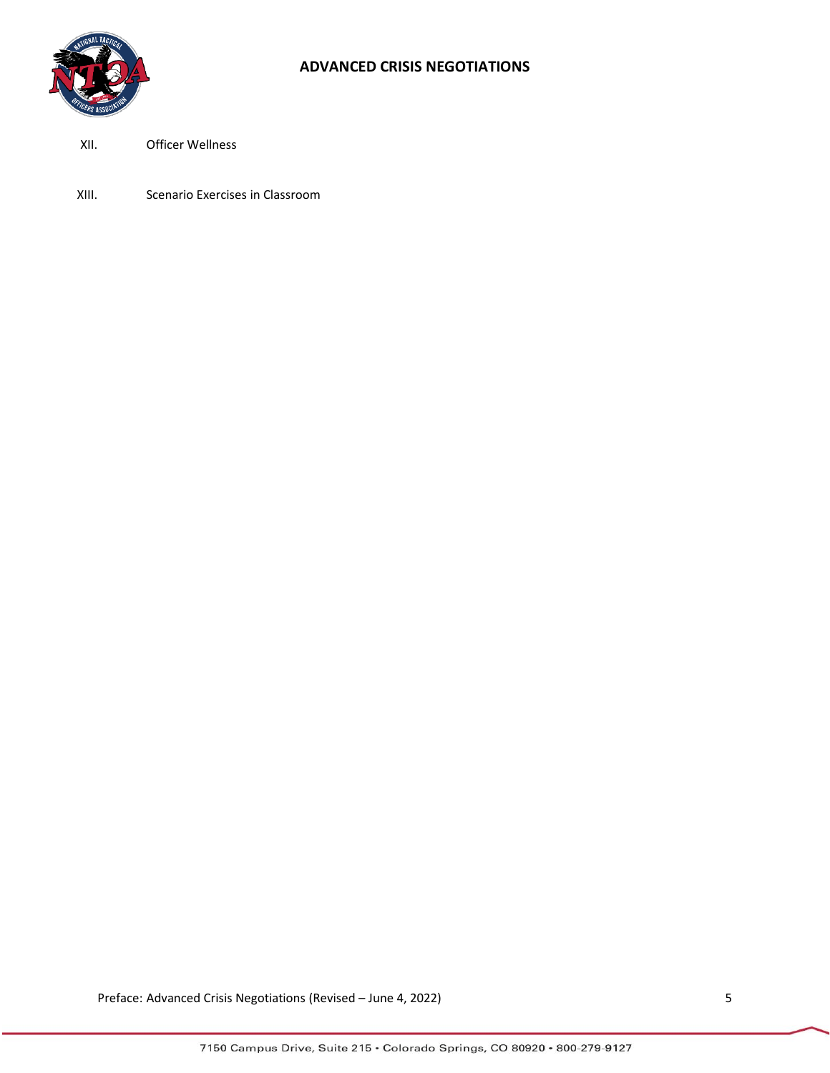

### XII. Officer Wellness

XIII. Scenario Exercises in Classroom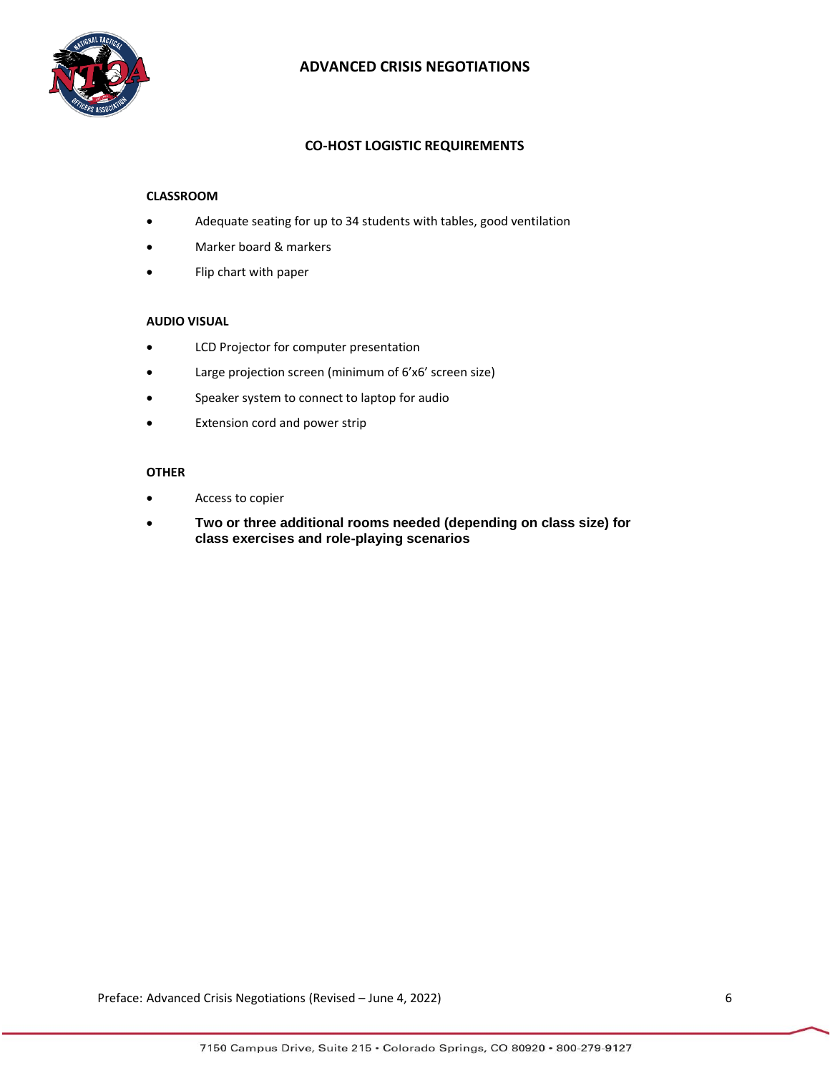

### **CO-HOST LOGISTIC REQUIREMENTS**

#### **CLASSROOM**

- Adequate seating for up to 34 students with tables, good ventilation
- Marker board & markers
- Flip chart with paper

#### **AUDIO VISUAL**

- LCD Projector for computer presentation
- Large projection screen (minimum of 6'x6' screen size)
- Speaker system to connect to laptop for audio
- Extension cord and power strip

### **OTHER**

- Access to copier
- **Two or three additional rooms needed (depending on class size) for class exercises and role-playing scenarios**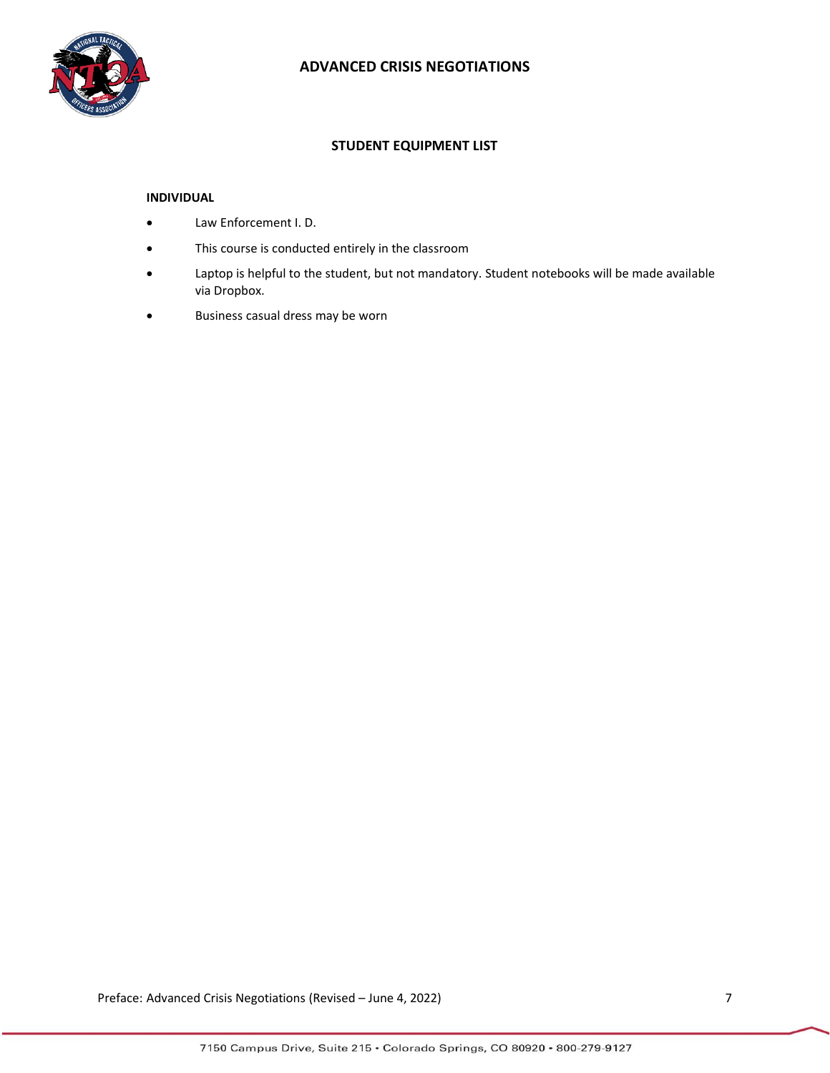

### **STUDENT EQUIPMENT LIST**

### **INDIVIDUAL**

- Law Enforcement I. D.
- This course is conducted entirely in the classroom
- Laptop is helpful to the student, but not mandatory. Student notebooks will be made available via Dropbox.
- Business casual dress may be worn